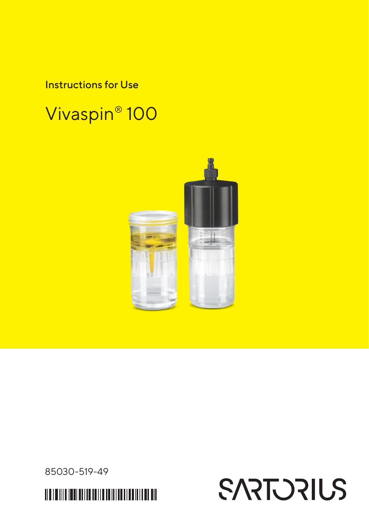Instructions for Use

## Vivaspin® 100



85030-519-49

<u> 11 AN 18 AN 18 AN 18 AN 18 AN 18 AN 18 AN 18 AN 18 AN 18 AN 18 AN 18 AN 18 AN 18 AN 18 AN 18 AN 18 AN 18 AN 1</u>

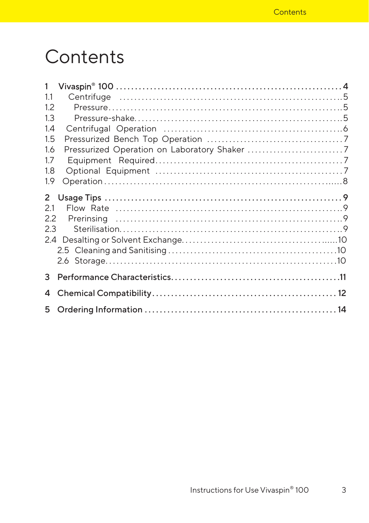## Contents

| 1   |  |
|-----|--|
| 1.1 |  |
| 1.2 |  |
| 1.3 |  |
| 1.4 |  |
| 1.5 |  |
| 1.6 |  |
| 1.7 |  |
| 1.8 |  |
| 1.9 |  |
|     |  |
| 2.1 |  |
| 2.2 |  |
| 2.3 |  |
|     |  |
|     |  |
|     |  |
| 3   |  |
|     |  |
|     |  |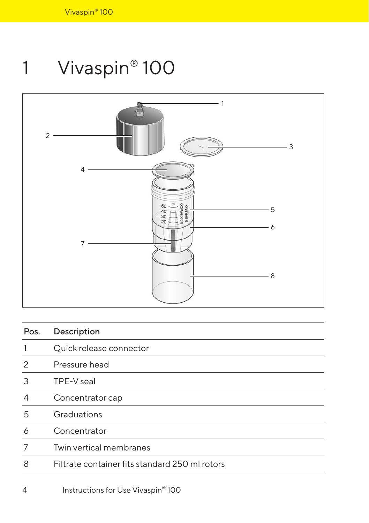# <span id="page-3-0"></span>1 Vivaspin® 100



| Pos. | Description                                    |
|------|------------------------------------------------|
| 1    | Quick release connector                        |
| 2    | Pressure head                                  |
| 3    | TPE-V seal                                     |
| 4    | Concentrator cap                               |
| 5    | Graduations                                    |
| 6    | Concentrator                                   |
| 7    | Twin vertical membranes                        |
| 8    | Filtrate container fits standard 250 ml rotors |
|      |                                                |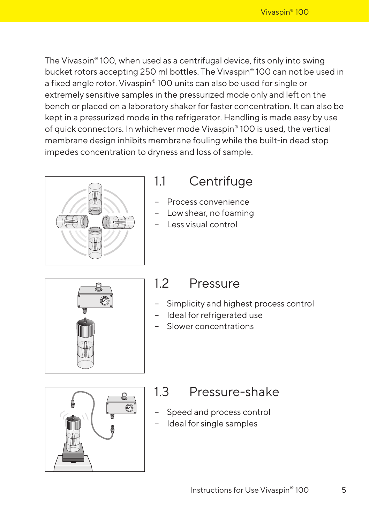<span id="page-4-0"></span>The Vivaspin® 100, when used as a centrifugal device, fits only into swing bucket rotors accepting 250 ml bottles. The Vivaspin® 100 can not be used in a fixed angle rotor. Vivaspin® 100 units can also be used for single or extremely sensitive samples in the pressurized mode only and left on the bench or placed on a laboratory shaker for faster concentration. It can also be kept in a pressurized mode in the refrigerator. Handling is made easy by use of quick connectors. In whichever mode Vivaspin® 100 is used, the vertical membrane design inhibits membrane fouling while the built-in dead stop impedes concentration to dryness and loss of sample.



### 1.1 Centrifuge

- − Process convenience
- − Low shear, no foaming
- − Less visual control



### 12 Pressure

- Simplicity and highest process control
- − Ideal for refrigerated use
- − Slower concentrations



### 1.3 Pressure-shake

- − Speed and process control
- − Ideal for single samples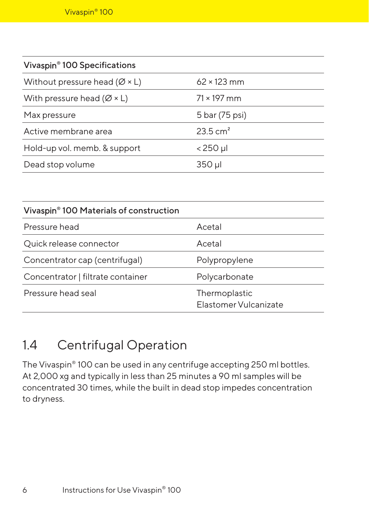<span id="page-5-0"></span>

| Vivaspin <sup>®</sup> 100 Specifications   |                     |
|--------------------------------------------|---------------------|
| Without pressure head ( $\varnothing$ × L) | $62 \times 123$ mm  |
| With pressure head ( $\varnothing$ × L)    | $71 \times 197$ mm  |
| Max pressure                               | 5 bar (75 psi)      |
| Active membrane area                       | $23.5 \text{ cm}^2$ |
| Hold-up vol. memb. & support               | $<$ 250 µl          |
| Dead stop volume                           | 350 µl              |

| Vivaspin <sup>®</sup> 100 Materials of construction |                                        |
|-----------------------------------------------------|----------------------------------------|
| Pressure head                                       | Acetal                                 |
| Quick release connector                             | Acetal                                 |
| Concentrator cap (centrifugal)                      | Polypropylene                          |
| Concentrator   filtrate container                   | Polycarbonate                          |
| Pressure head seal                                  | Thermoplastic<br>Flastomer Vulcanizate |

### 1.4 Centrifugal Operation

The Vivaspin® 100 can be used in any centrifuge accepting 250 ml bottles. At 2,000 xg and typically in less than 25 minutes a 90 ml samples will be concentrated 30 times, while the built in dead stop impedes concentration to dryness.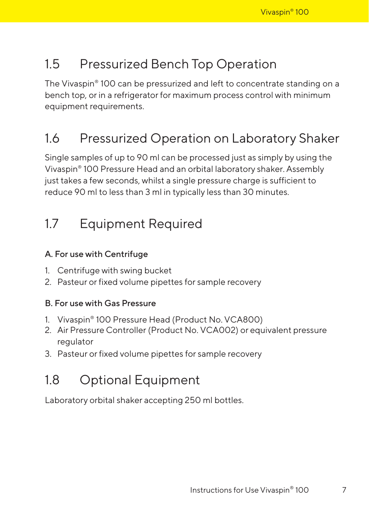### <span id="page-6-0"></span>1.5 Pressurized Bench Top Operation

The Vivaspin® 100 can be pressurized and left to concentrate standing on a bench top, or in a refrigerator for maximum process control with minimum equipment requirements.

### 1.6 Pressurized Operation on Laboratory Shaker

Single samples of up to 90 ml can be processed just as simply by using the Vivaspin® 100 Pressure Head and an orbital laboratory shaker. Assembly just takes a few seconds, whilst a single pressure charge is sufficient to reduce 90 ml to less than 3 ml in typically less than 30 minutes.

### 1.7 Equipment Required

#### A. For use with Centrifuge

- 1. Centrifuge with swing bucket
- 2. Pasteur or fixed volume pipettes for sample recovery

#### B. For use with Gas Pressure

- 1. Vivaspin® 100 Pressure Head (Product No. VCA800)
- 2. Air Pressure Controller (Product No. VCA002) or equivalent pressure regulator
- 3. Pasteur or fixed volume pipettes for sample recovery

### 1.8 Optional Equipment

Laboratory orbital shaker accepting 250 ml bottles.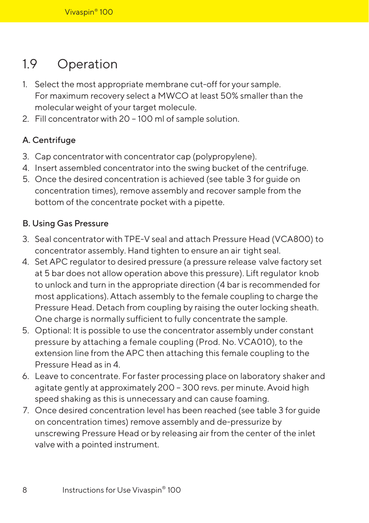### <span id="page-7-0"></span>1.9 Operation

- 1. Select the most appropriate membrane cut-off for your sample. For maximum recovery select a MWCO at least 50% smaller than the molecular weight of your target molecule.
- 2. Fill concentrator with 20 100 ml of sample solution.

#### A. Centrifuge

- 3. Cap concentrator with concentrator cap (polypropylene).
- 4. Insert assembled concentrator into the swing bucket of the centrifuge.
- 5. Once the desired concentration is achieved (see table 3 for guide on concentration times), remove assembly and recover sample from the bottom of the concentrate pocket with a pipette.

#### B. Using Gas Pressure

- 3. Seal concentrator with TPE-V seal and attach Pressure Head (VCA800) to concentrator assembly. Hand tighten to ensure an air tight seal.
- 4. Set APC regulator to desired pressure (a pressure release valve factory set at 5 bar does not allow operation above this pressure). Lift regulator knob to unlock and turn in the appropriate direction (4 bar is recommended for most applications). Attach assembly to the female coupling to charge the Pressure Head. Detach from coupling by raising the outer locking sheath. One charge is normally sufficient to fully concentrate the sample.
- 5. Optional: It is possible to use the concentrator assembly under constant pressure by attaching a female coupling (Prod. No. VCA010), to the extension line from the APC then attaching this female coupling to the Pressure Head as in 4.
- 6. Leave to concentrate. For faster processing place on laboratory shaker and agitate gently at approximately 200 – 300 revs. per minute. Avoid high speed shaking as this is unnecessary and can cause foaming.
- 7. Once desired concentration level has been reached (see table 3 for guide on concentration times) remove assembly and de-pressurize by unscrewing Pressure Head or by releasing air from the center of the inlet valve with a pointed instrument.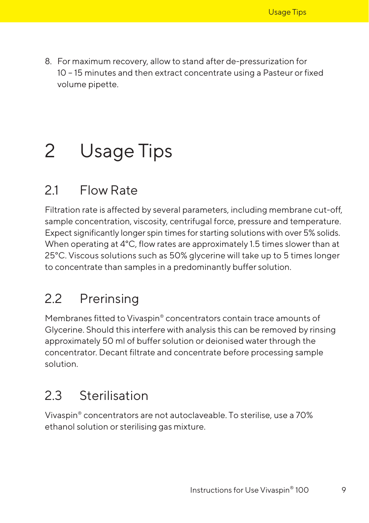<span id="page-8-0"></span>8. For maximum recovery, allow to stand after de-pressurization for 10 – 15 minutes and then extract concentrate using a Pasteur or fixed volume pipette.

# 2 Usage Tips

## 21 Flow Rate

Filtration rate is affected by several parameters, including membrane cut-off, sample concentration, viscosity, centrifugal force, pressure and temperature. Expect significantly longer spin times for starting solutions with over 5% solids. When operating at 4°C, flow rates are approximately 1.5 times slower than at 25°C. Viscous solutions such as 50% glycerine will take up to 5 times longer to concentrate than samples in a predominantly buffer solution.

### 2.2 Prerinsing

Membranes fitted to Vivaspin® concentrators contain trace amounts of Glycerine. Should this interfere with analysis this can be removed by rinsing approximately 50 ml of buffer solution or deionised water through the concentrator. Decant filtrate and concentrate before processing sample solution.

### 2.3 Sterilisation

Vivaspin® concentrators are not autoclaveable. To sterilise, use a 70% ethanol solution or sterilising gas mixture.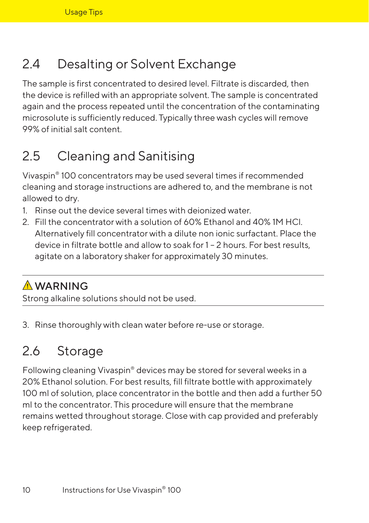## <span id="page-9-0"></span>2.4 Desalting or Solvent Exchange

The sample is first concentrated to desired level. Filtrate is discarded, then the device is refilled with an appropriate solvent. The sample is concentrated again and the process repeated until the concentration of the contaminating microsolute is sufficiently reduced. Typically three wash cycles will remove 99% of initial salt content.

## 2.5 Cleaning and Sanitising

Vivaspin® 100 concentrators may be used several times if recommended cleaning and storage instructions are adhered to, and the membrane is not allowed to dry.

- 1. Rinse out the device several times with deionized water.
- 2. Fill the concentrator with a solution of 60% Ethanol and 40% 1M HCl. Alternatively fill concentrator with a dilute non ionic surfactant. Place the device in filtrate bottle and allow to soak for 1 – 2 hours. For best results, agitate on a laboratory shaker for approximately 30 minutes.

### A WARNING

Strong alkaline solutions should not be used.

3. Rinse thoroughly with clean water before re-use or storage.

### 2.6 Storage

Following cleaning Vivaspin® devices may be stored for several weeks in a 20% Ethanol solution. For best results, fill filtrate bottle with approximately 100 ml of solution, place concentrator in the bottle and then add a further 50 ml to the concentrator. This procedure will ensure that the membrane remains wetted throughout storage. Close with cap provided and preferably keep refrigerated.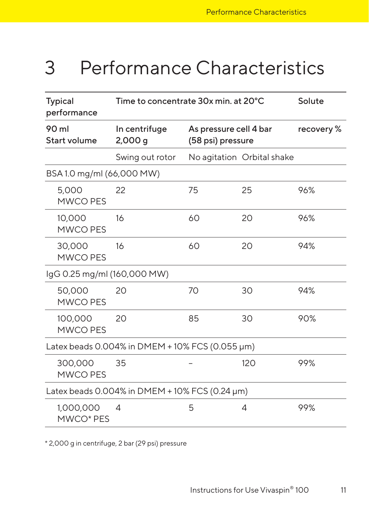## <span id="page-10-0"></span>3 Performance Characteristics

| <b>Typical</b><br>Time to concentrate 30x min. at 20°C<br>performance |                         | Solute                                      |                            |           |
|-----------------------------------------------------------------------|-------------------------|---------------------------------------------|----------------------------|-----------|
| 90 ml<br><b>Start volume</b>                                          | In centrifuge<br>2,000g | As pressure cell 4 bar<br>(58 psi) pressure |                            | recovery% |
|                                                                       | Swing out rotor         |                                             | No agitation Orbital shake |           |
| BSA 1.0 mg/ml (66,000 MW)                                             |                         |                                             |                            |           |
| 5,000<br>MWCO PES                                                     | 22                      | 75                                          | 25                         | 96%       |
| 10,000<br><b>MWCO PES</b>                                             | 16                      | 60                                          | 20                         | 96%       |
| 30,000<br><b>MWCO PES</b>                                             | 16                      | 60                                          | 20                         | 94%       |
| IgG 0.25 mg/ml (160,000 MW)                                           |                         |                                             |                            |           |
| 50,000<br><b>MWCO PES</b>                                             | 20                      | 70                                          | 30                         | 94%       |
| 100,000<br><b>MWCO PES</b>                                            | 20                      | 85                                          | 30                         | 90%       |
| Latex beads 0.004% in DMEM + 10% FCS (0.055 µm)                       |                         |                                             |                            |           |
| 300,000<br><b>MWCO PES</b>                                            | 35                      |                                             | 120                        | 99%       |
| Latex beads 0.004% in DMEM + 10% FCS (0.24 µm)                        |                         |                                             |                            |           |
| 1,000,000<br>MWCO* PES                                                | 4                       | 5                                           | 4                          | 99%       |

\* 2,000 g in centrifuge, 2 bar (29 psi) pressure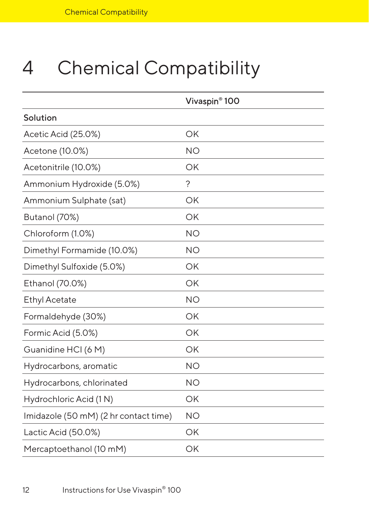# <span id="page-11-0"></span>4 Chemical Compatibility

|                                       | Vivaspin <sup>®</sup> 100 |
|---------------------------------------|---------------------------|
| Solution                              |                           |
| Acetic Acid (25.0%)                   | OK                        |
| Acetone (10.0%)                       | <b>NO</b>                 |
| Acetonitrile (10.0%)                  | OK                        |
| Ammonium Hydroxide (5.0%)             | ?                         |
| Ammonium Sulphate (sat)               | OK                        |
| Butanol (70%)                         | OK                        |
| Chloroform (1.0%)                     | <b>NO</b>                 |
| Dimethyl Formamide (10.0%)            | <b>NO</b>                 |
| Dimethyl Sulfoxide (5.0%)             | OK                        |
| Ethanol (70.0%)                       | OK                        |
| <b>Ethyl Acetate</b>                  | <b>NO</b>                 |
| Formaldehyde (30%)                    | OK                        |
| Formic Acid (5.0%)                    | OK                        |
| Guanidine HCI (6 M)                   | OK                        |
| Hydrocarbons, aromatic                | <b>NO</b>                 |
| Hydrocarbons, chlorinated             | <b>NO</b>                 |
| Hydrochloric Acid (1 N)               | OK                        |
| Imidazole (50 mM) (2 hr contact time) | <b>NO</b>                 |
| Lactic Acid (50.0%)                   | OK                        |
| Mercaptoethanol (10 mM)               | OK                        |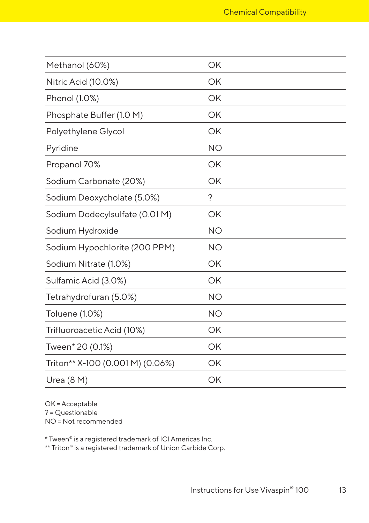| Methanol (60%)                   | OK        |
|----------------------------------|-----------|
| Nitric Acid (10.0%)              | OK        |
| Phenol (1.0%)                    | OK        |
| Phosphate Buffer (1.0 M)         | OK        |
| Polyethylene Glycol              | OK        |
| Pyridine                         | <b>NO</b> |
| Propanol 70%                     | OK        |
| Sodium Carbonate (20%)           | OK        |
| Sodium Deoxycholate (5.0%)       | ?         |
| Sodium Dodecylsulfate (0.01 M)   | OK        |
| Sodium Hydroxide                 | <b>NO</b> |
| Sodium Hypochlorite (200 PPM)    | <b>NO</b> |
| Sodium Nitrate (1.0%)            | OK        |
| Sulfamic Acid (3.0%)             | OK        |
| Tetrahydrofuran (5.0%)           | <b>NO</b> |
| Toluene (1.0%)                   | <b>NO</b> |
| Trifluoroacetic Acid (10%)       | OK        |
| Tween* 20 (0.1%)                 | OK        |
| Triton** X-100 (0.001 M) (0.06%) | OK        |
|                                  |           |

OK = Acceptable ? = Questionable NO = Not recommended

\* Tween® is a registered trademark of ICI Americas Inc.

\*\* Triton® is a registered trademark of Union Carbide Corp.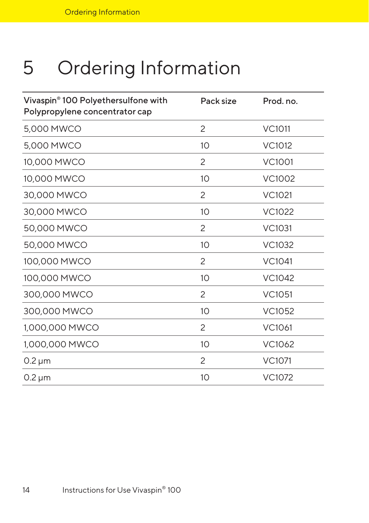# <span id="page-13-0"></span>5 Ordering Information

| Vivaspin® 100 Polyethersulfone with<br>Polypropylene concentrator cap | Pack size       | Prod. no.     |
|-----------------------------------------------------------------------|-----------------|---------------|
| 5,000 MWCO                                                            | 2               | <b>VC1011</b> |
| 5,000 MWCO                                                            | 10              | VC1012        |
| 10,000 MWCO                                                           | 2               | <b>VC1001</b> |
| 10,000 MWCO                                                           | 10 <sup>°</sup> | <b>VC1002</b> |
| 30,000 MWCO                                                           | 2               | VC1021        |
| 30,000 MWCO                                                           | 10 <sup>°</sup> | <b>VC1022</b> |
| 50,000 MWCO                                                           | 2               | <b>VC1031</b> |
| 50,000 MWCO                                                           | 10              | <b>VC1032</b> |
| 100,000 MWCO                                                          | 2               | VC1041        |
| 100,000 MWCO                                                          | 10              | VC1042        |
| 300,000 MWCO                                                          | 2               | <b>VC1051</b> |
| 300,000 MWCO                                                          | 10 <sup>1</sup> | VC1052        |
| 1,000,000 MWCO                                                        | 2               | VC1061        |
| 1,000,000 MWCO                                                        | 10              | VC1062        |
| $0.2 \mu m$                                                           | $\mathcal{P}$   | <b>VC1071</b> |
| $0.2 \mu m$                                                           | 10              | VC1072        |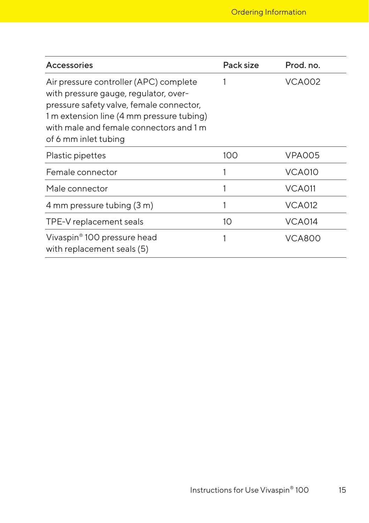| Accessories                                                                                                                                                                                                                                 | Pack size | Prod. no.     |
|---------------------------------------------------------------------------------------------------------------------------------------------------------------------------------------------------------------------------------------------|-----------|---------------|
| Air pressure controller (APC) complete<br>with pressure gauge, regulator, over-<br>pressure safety valve, female connector,<br>1 m extension line (4 mm pressure tubing)<br>with male and female connectors and 1 m<br>of 6 mm inlet tubing |           | VCA002        |
| Plastic pipettes                                                                                                                                                                                                                            | 100       | VPA005        |
| Female connector                                                                                                                                                                                                                            |           | VCA010        |
| Male connector                                                                                                                                                                                                                              |           | VCA011        |
| 4 mm pressure tubing (3 m)                                                                                                                                                                                                                  |           | <b>VCA012</b> |
| TPE-V replacement seals                                                                                                                                                                                                                     | 10        | VCA014        |
| Vivaspin® 100 pressure head<br>with replacement seals (5)                                                                                                                                                                                   |           | <b>VCA800</b> |